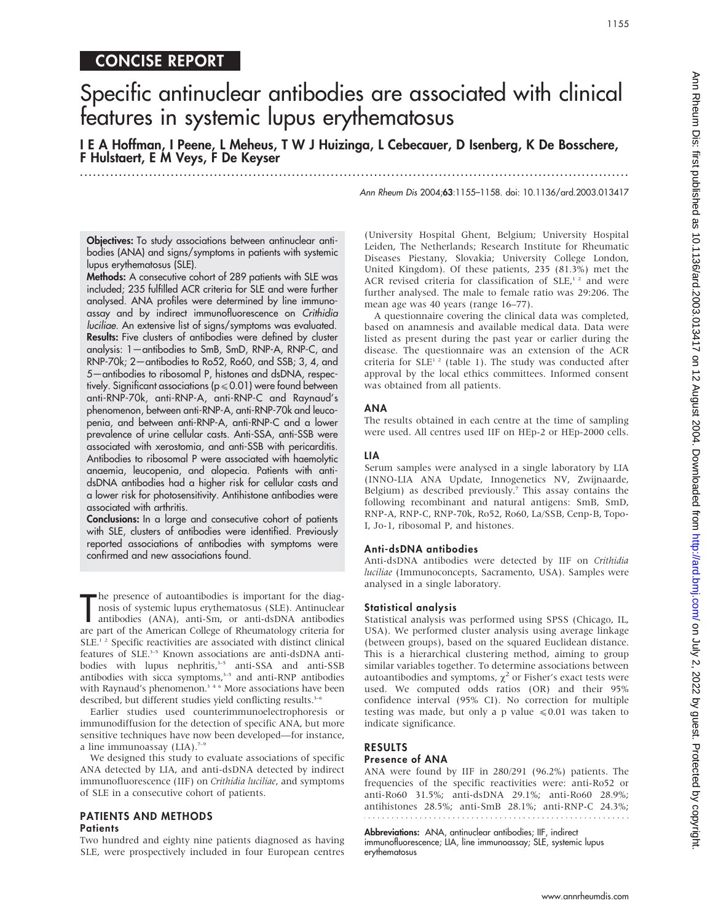# CONCISE REPORT

# Specific antinuclear antibodies are associated with clinical features in systemic lupus erythematosus

I E A Hoffman, I Peene, L Meheus, T W J Huizinga, L Cebecauer, D Isenberg, K De Bosschere, F Hulstaert, E M Veys, F De Keyser ...............................................................................................................................

Ann Rheum Dis 2004;63:1155–1158. doi: 10.1136/ard.2003.013417

Objectives: To study associations between antinuclear antibodies (ANA) and signs/symptoms in patients with systemic lupus erythematosus (SLE).

Methods: A consecutive cohort of 289 patients with SLE was included; 235 fulfilled ACR criteria for SLE and were further analysed. ANA profiles were determined by line immunoassay and by indirect immunofluorescence on Crithidia luciliae. An extensive list of signs/symptoms was evaluated. Results: Five clusters of antibodies were defined by cluster analysis: 1—antibodies to SmB, SmD, RNP-A, RNP-C, and RNP-70k; 2—antibodies to Ro52, Ro60, and SSB; 3, 4, and 5—antibodies to ribosomal P, histones and dsDNA, respectively. Significant associations ( $p \le 0.01$ ) were found between anti-RNP-70k, anti-RNP-A, anti-RNP-C and Raynaud's phenomenon, between anti-RNP-A, anti-RNP-70k and leucopenia, and between anti-RNP-A, anti-RNP-C and a lower prevalence of urine cellular casts. Anti-SSA, anti-SSB were associated with xerostomia, and anti-SSB with pericarditis. Antibodies to ribosomal P were associated with haemolytic anaemia, leucopenia, and alopecia. Patients with antidsDNA antibodies had a higher risk for cellular casts and a lower risk for photosensitivity. Antihistone antibodies were associated with arthritis.

Conclusions: In a large and consecutive cohort of patients with SLE, clusters of antibodies were identified. Previously reported associations of antibodies with symptoms were confirmed and new associations found.

The presence of autoantibodies is important for the diagnosis of systemic lupus erythematosus (SLE). Antinuclear antibodies (ANA), anti-Sm, or anti-dsDNA antibodies are part of the American College of Rheumatology criteria he presence of autoantibodies is important for the diagnosis of systemic lupus erythematosus (SLE). Antinuclear antibodies (ANA), anti-Sm, or anti-dsDNA antibodies SLE.<sup>12</sup> Specific reactivities are associated with distinct clinical features of SLE.<sup>3-5</sup> Known associations are anti-dsDNA antibodies with lupus nephritis,<sup>3-5</sup> anti-SSA and anti-SSB antibodies with sicca symptoms,<sup>3-5</sup> and anti-RNP antibodies with Raynaud's phenomenon.<sup>346</sup> More associations have been described, but different studies yield conflicting results.<sup>3-</sup>

Earlier studies used counterimmunoelectrophoresis or immunodiffusion for the detection of specific ANA, but more sensitive techniques have now been developed—for instance, a line immunoassay  $(LIA).$ <sup>7-9</sup>

We designed this study to evaluate associations of specific ANA detected by LIA, and anti-dsDNA detected by indirect immunofluorescence (IIF) on Crithidia luciliae, and symptoms of SLE in a consecutive cohort of patients.

### PATIENTS AND METHODS **Patients**

Two hundred and eighty nine patients diagnosed as having SLE, were prospectively included in four European centres

(University Hospital Ghent, Belgium; University Hospital Leiden, The Netherlands; Research Institute for Rheumatic Diseases Piestany, Slovakia; University College London, United Kingdom). Of these patients, 235 (81.3%) met the ACR revised criteria for classification of SLE,<sup>12</sup> and were further analysed. The male to female ratio was 29:206. The mean age was 40 years (range 16–77).

A questionnaire covering the clinical data was completed, based on anamnesis and available medical data. Data were listed as present during the past year or earlier during the disease. The questionnaire was an extension of the ACR criteria for  $SLE<sup>1,2</sup>$  (table 1). The study was conducted after approval by the local ethics committees. Informed consent was obtained from all patients.

#### ANA

The results obtained in each centre at the time of sampling were used. All centres used IIF on HEp-2 or HEp-2000 cells.

### LIA

Serum samples were analysed in a single laboratory by LIA (INNO-LIA ANA Update, Innogenetics NV, Zwijnaarde, Belgium) as described previously.<sup>7</sup> This assay contains the following recombinant and natural antigens: SmB, SmD, RNP-A, RNP-C, RNP-70k, Ro52, Ro60, La/SSB, Cenp-B, Topo-I, Jo-1, ribosomal P, and histones.

#### Anti-dsDNA antibodies

Anti-dsDNA antibodies were detected by IIF on Crithidia luciliae (Immunoconcepts, Sacramento, USA). Samples were analysed in a single laboratory.

#### Statistical analysis

Statistical analysis was performed using SPSS (Chicago, IL, USA). We performed cluster analysis using average linkage (between groups), based on the squared Euclidean distance. This is a hierarchical clustering method, aiming to group similar variables together. To determine associations between autoantibodies and symptoms,  $\chi^2$  or Fisher's exact tests were used. We computed odds ratios (OR) and their 95% confidence interval (95% CI). No correction for multiple testing was made, but only a p value  $\leq 0.01$  was taken to indicate significance.

### RESULTS Presence of ANA

ANA were found by IIF in 280/291 (96.2%) patients. The frequencies of the specific reactivities were: anti-Ro52 or anti-Ro60 31.5%; anti-dsDNA 29.1%; anti-Ro60 28.9%; antihistones 28.5%; anti-SmB 28.1%; anti-RNP-C 24.3%; 

Abbreviations: ANA, antinuclear antibodies; IIF, indirect immunofluorescence; LIA, line immunoassay; SLE, systemic lupus erythematosus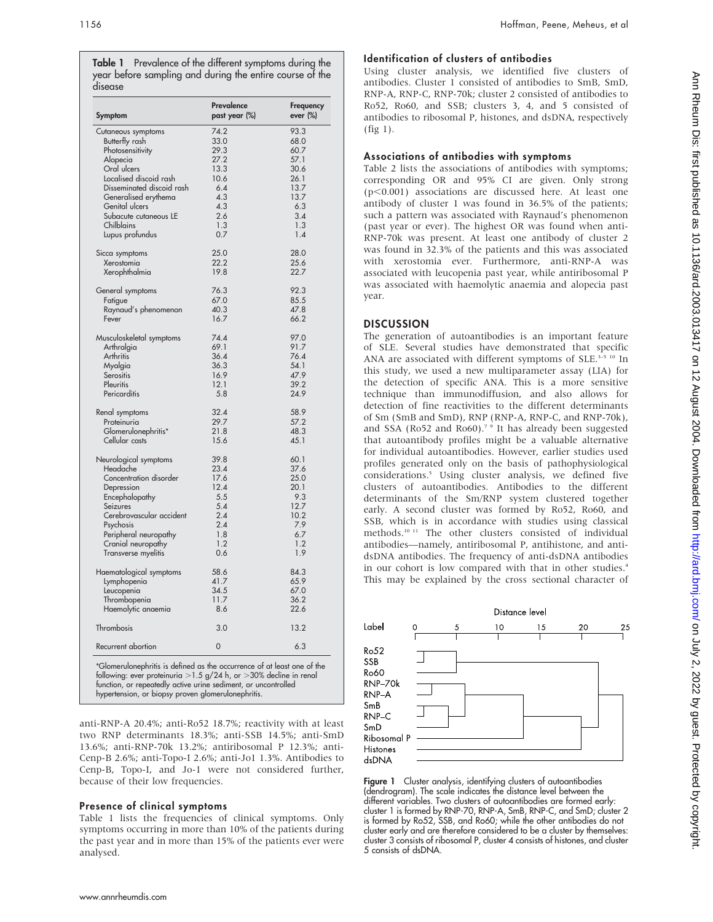Table 1 Prevalence of the different symptoms during the year before sampling and during the entire course of the disease

| Symptom                               | Prevalence<br>past year (%) | Frequency<br>ever (%) |
|---------------------------------------|-----------------------------|-----------------------|
| Cutaneous symptoms                    | 74.2                        | 93.3                  |
| Butterfly rash                        | 33.0                        | 68.0                  |
| Photosensitivity                      | 29.3                        | 60.7                  |
| Alopecia                              | 27.2                        | 57.1                  |
| Oral ulcers                           | 13.3                        | 30.6                  |
| Localised discoid rash                | 10.6                        | 26.1                  |
| Disseminated discoid rash             | 6.4                         | 13.7                  |
| Generalised erythema                  | 4.3                         | 13.7                  |
| Genital ulcers                        | 4.3                         | 6.3                   |
| Subacute cutaneous LE                 | 2.6                         | 3.4                   |
| Chilblains                            | 1.3                         | 1.3                   |
| Lupus profundus                       | 0.7                         | 1.4                   |
| Sicca symptoms                        | 25.0                        | 28.0                  |
| Xerostomia                            | 22.2                        | 25.6                  |
| Xerophthalmia                         | 19.8                        | 22.7                  |
| General symptoms                      | 76.3                        | 92.3                  |
| Fatigue                               | 67.0                        | 85.5                  |
| Raynaud's phenomenon                  | 40.3                        | 47.8                  |
| Fever                                 | 16.7                        | 66.2                  |
| Musculoskeletal symptoms              | 74.4                        | 97.0                  |
| Arthralgia                            | 69.1                        | 91.7                  |
| Arthritis                             | 36.4                        | 76.4                  |
| Myalgia                               | 36.3                        | 54.1                  |
| Serositis                             | 16.9                        | 47.9                  |
| Pleuritis                             | 12.1                        | 39.2                  |
| Pericarditis                          | 5.8                         | 24.9                  |
| Renal symptoms                        | 32.4                        | 58.9                  |
| Proteinuria                           | 29.7<br>21.8                | 57.2<br>48.3          |
| Glomerulonephritis*<br>Cellular casts | 15.6                        | 45.1                  |
| Neurological symptoms                 | 39.8                        | 60.1                  |
| Headache                              | 23.4                        | 37.6                  |
| Concentration disorder                | 17.6                        | 25.0                  |
| Depression                            | 12.4                        | 20.1                  |
| Encephalopathy                        | 5.5                         | 9.3                   |
| Seizures                              | 5.4                         | 12.7                  |
| Cerebrovascular accident              | 2.4                         | 10.2                  |
| Psychosis                             | 2.4                         | 7.9                   |
| Peripheral neuropathy                 | 1.8                         | 6.7                   |
| Cranial neuropathy                    | 1.2                         | 1.2                   |
| Transverse myelitis                   | 0.6                         | 1.9                   |
| Haematological symptoms               | 58.6                        | 84.3                  |
| Lymphopenia                           | 41.7                        | 65.9                  |
| Leucopenia                            | 34.5                        | 67.0                  |
| Thrombopenia                          | 11.7                        | 36.2                  |
| Haemolytic anaemia                    | 8.6                         | 22.6                  |
| Thrombosis                            | 3.0                         | 13.2                  |
| Recurrent abortion                    | 0                           | 6.3                   |

anti-RNP-A 20.4%; anti-Ro52 18.7%; reactivity with at least two RNP determinants 18.3%; anti-SSB 14.5%; anti-SmD 13.6%; anti-RNP-70k 13.2%; antiribosomal P 12.3%; anti-Cenp-B 2.6%; anti-Topo-I 2.6%; anti-Jo1 1.3%. Antibodies to

# Cenp-B, Topo-I, and Jo-1 were not considered further, because of their low frequencies.

### Presence of clinical symptoms

Table 1 lists the frequencies of clinical symptoms. Only symptoms occurring in more than 10% of the patients during the past year and in more than 15% of the patients ever were analysed.

# Identification of clusters of antibodies

Using cluster analysis, we identified five clusters of antibodies. Cluster 1 consisted of antibodies to SmB, SmD, RNP-A, RNP-C, RNP-70k; cluster 2 consisted of antibodies to Ro52, Ro60, and SSB; clusters 3, 4, and 5 consisted of antibodies to ribosomal P, histones, and dsDNA, respectively (fig 1).

## Associations of antibodies with symptoms

Table 2 lists the associations of antibodies with symptoms; corresponding OR and 95% CI are given. Only strong  $(p<0.001)$  associations are discussed here. At least one antibody of cluster 1 was found in 36.5% of the patients; such a pattern was associated with Raynaud's phenomenon (past year or ever). The highest OR was found when anti-RNP-70k was present. At least one antibody of cluster 2 was found in 32.3% of the patients and this was associated with xerostomia ever. Furthermore, anti-RNP-A was associated with leucopenia past year, while antiribosomal P was associated with haemolytic anaemia and alopecia past year.

### **DISCUSSION**

The generation of autoantibodies is an important feature of SLE. Several studies have demonstrated that specific ANA are associated with different symptoms of SLE. $3-5$  10 In this study, we used a new multiparameter assay (LIA) for the detection of specific ANA. This is a more sensitive technique than immunodiffusion, and also allows for detection of fine reactivities to the different determinants of Sm (SmB and SmD), RNP (RNP-A, RNP-C, and RNP-70k), and SSA (Ro52 and Ro60).<sup>79</sup> It has already been suggested that autoantibody profiles might be a valuable alternative for individual autoantibodies. However, earlier studies used profiles generated only on the basis of pathophysiological considerations.5 Using cluster analysis, we defined five clusters of autoantibodies. Antibodies to the different determinants of the Sm/RNP system clustered together early. A second cluster was formed by Ro52, Ro60, and SSB, which is in accordance with studies using classical methods.10 11 The other clusters consisted of individual antibodies—namely, antiribosomal P, antihistone, and antidsDNA antibodies. The frequency of anti-dsDNA antibodies in our cohort is low compared with that in other studies.<sup>4</sup> This may be explained by the cross sectional character of



Figure 1 Cluster analysis, identifying clusters of autoantibodies (dendrogram). The scale indicates the distance level between the different variables. Two clusters of autoantibodies are formed early: cluster 1 is formed by RNP-70, RNP-A, SmB, RNP-C, and SmD; cluster 2 is formed by Ro52, SSB, and Ro60; while the other antibodies do not cluster early and are therefore considered to be a cluster by themselves: cluster 3 consists of ribosomal P, cluster 4 consists of histones, and cluster 5 consists of dsDNA.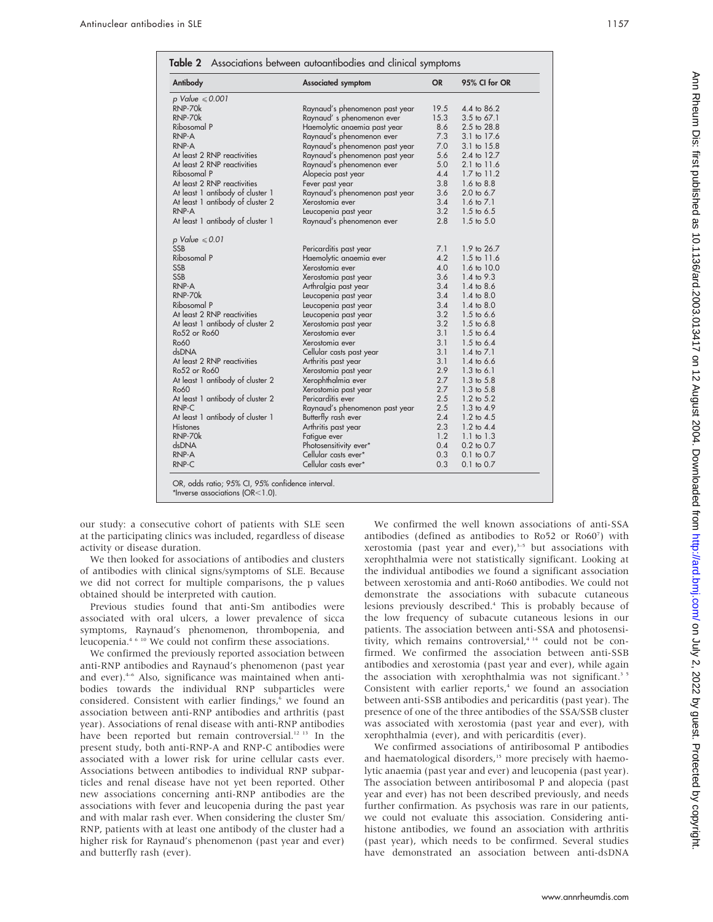| Antibody                         | <b>Associated symptom</b>      | <b>OR</b> | 95% CI for OR         |
|----------------------------------|--------------------------------|-----------|-----------------------|
| p Value $\leqslant 0.001$        |                                |           |                       |
| RNP-70k                          | Raynaud's phenomenon past year | 19.5      | 4.4 to 86.2           |
| RNP-70k                          | Raynaud's phenomenon ever      | 15.3      | $3.5$ to 67.1         |
| Ribosomal P                      | Haemolytic anaemia past year   | 8.6       | 2.5 to 28.8           |
| RNP-A                            | Raynaud's phenomenon ever      | 7.3       | 3.1 to 17.6           |
| RNP-A                            | Raynaud's phenomenon past year | 7.0       | 3.1 to 15.8           |
| At least 2 RNP reactivities      | Raynaud's phenomenon past year | 5.6       | 2.4 to 12.7           |
| At least 2 RNP reactivities      | Raynaud's phenomenon ever      | 5.0       | 2.1 to 11.6           |
| Ribosomal P                      | Alopecia past year             | 4.4       | 1.7 to 11.2           |
| At least 2 RNP reactivities      | Fever past year                | 3.8       | 1.6 to 8.8            |
| At least 1 antibody of cluster 1 | Raynaud's phenomenon past year | 3.6       | 2.0 to 6.7            |
| At least 1 antibody of cluster 2 | Xerostomia ever                | 3.4       | 1.6 to $7.1$          |
| RNP-A                            | Leucopenia past year           | 3.2       | $1.5 \text{ to } 6.5$ |
| At least 1 antibody of cluster 1 | Raynaud's phenomenon ever      | 2.8       | $1.5 \text{ to } 5.0$ |
| p Value $\leqslant 0.01$         |                                |           |                       |
| <b>SSB</b>                       | Pericarditis past year         | 7.1       | 1.9 to 26.7           |
| Ribosomal P                      | Haemolytic anaemia ever        | 4.2       | 1.5 to 11.6           |
| <b>SSB</b>                       | Xerostomia ever                | 4.0       | 1.6 to 10.0           |
| <b>SSB</b>                       | Xerostomia past year           | 3.6       | 1.4 to 9.3            |
| RNP-A                            | Arthralgia past year           | 3.4       | 1.4 to 8.6            |
| RNP-70k                          | Leucopenia past year           | 3.4       | $1.4 \text{ to } 8.0$ |
| Ribosomal P                      | Leucopenia past year           | 3.4       | 1.4 to 8.0            |
| At least 2 RNP reactivities      | Leucopenia past year           | 3.2       | $1.5$ to 6.6          |
| At least 1 antibody of cluster 2 | Xerostomia past year           | 3.2       | $1.5 \text{ to } 6.8$ |
| Ro52 or Ro60                     | Xerostomia ever                | 3.1       | $1.5$ to 6.4          |
| <b>Ro60</b>                      | Xerostomia ever                | 3.1       | $1.5$ to 6.4          |
| dsDNA                            | Cellular casts past year       | 3.1       | 1.4 to $7.1$          |
| At least 2 RNP reactivities      | Arthritis past year            | 3.1       | 1.4 to $6.6$          |
| Ro52 or Ro60                     | Xerostomia past year           | 2.9       | $1.3 \text{ to } 6.1$ |
| At least 1 antibody of cluster 2 | Xerophthalmia ever             | 2.7       | $1.3 \text{ to } 5.8$ |
| <b>Ro60</b>                      | Xerostomia past year           | 2.7       | $1.3 \text{ to } 5.8$ |
| At least 1 antibody of cluster 2 | Pericarditis ever              | 2.5       | 1.2 to 5.2            |
| RNP-C                            | Raynaud's phenomenon past year | 2.5       | 1.3 to 4.9            |
| At least 1 antibody of cluster 1 | Butterfly rash ever            | 2.4       | 1.2 to 4.5            |
| <b>Histones</b>                  | Arthritis past year            | 2.3       | 1.2 to 4.4            |
| RNP-70k                          | Fatigue ever                   | 1.2       | $1.1$ to $1.3$        |
| dsDNA                            | Photosensitivity ever*         | 0.4       | $0.2$ to $0.7$        |
| RNP-A                            | Cellular casts ever*           | 0.3       | 0.1 to 0.7            |
| RNP-C                            | Cellular casts ever*           | 0.3       | $0.1$ to $0.7$        |

our study: a consecutive cohort of patients with SLE seen at the participating clinics was included, regardless of disease activity or disease duration.

We then looked for associations of antibodies and clusters of antibodies with clinical signs/symptoms of SLE. Because we did not correct for multiple comparisons, the p values obtained should be interpreted with caution.

Previous studies found that anti-Sm antibodies were associated with oral ulcers, a lower prevalence of sicca symptoms, Raynaud's phenomenon, thrombopenia, and leucopenia.4 6 10 We could not confirm these associations.

We confirmed the previously reported association between anti-RNP antibodies and Raynaud's phenomenon (past year and ever).<sup>4-6</sup> Also, significance was maintained when antibodies towards the individual RNP subparticles were considered. Consistent with earlier findings,<sup>6</sup> we found an association between anti-RNP antibodies and arthritis (past year). Associations of renal disease with anti-RNP antibodies have been reported but remain controversial.<sup>12 13</sup> In the present study, both anti-RNP-A and RNP-C antibodies were associated with a lower risk for urine cellular casts ever. Associations between antibodies to individual RNP subparticles and renal disease have not yet been reported. Other new associations concerning anti-RNP antibodies are the associations with fever and leucopenia during the past year and with malar rash ever. When considering the cluster Sm/ RNP, patients with at least one antibody of the cluster had a higher risk for Raynaud's phenomenon (past year and ever) and butterfly rash (ever).

We confirmed the well known associations of anti-SSA antibodies (defined as antibodies to Ro52 or Ro60 $^7$ ) with xerostomia (past year and ever), $3-5$  but associations with xerophthalmia were not statistically significant. Looking at the individual antibodies we found a significant association between xerostomia and anti-Ro60 antibodies. We could not demonstrate the associations with subacute cutaneous lesions previously described.<sup>4</sup> This is probably because of the low frequency of subacute cutaneous lesions in our patients. The association between anti-SSA and photosensitivity, which remains controversial, $4^{14}$  could not be confirmed. We confirmed the association between anti-SSB antibodies and xerostomia (past year and ever), while again the association with xerophthalmia was not significant.<sup>3 5</sup> Consistent with earlier reports,<sup>4</sup> we found an association between anti-SSB antibodies and pericarditis (past year). The presence of one of the three antibodies of the SSA/SSB cluster was associated with xerostomia (past year and ever), with xerophthalmia (ever), and with pericarditis (ever).

We confirmed associations of antiribosomal P antibodies and haematological disorders,<sup>15</sup> more precisely with haemolytic anaemia (past year and ever) and leucopenia (past year). The association between antiribosomal P and alopecia (past year and ever) has not been described previously, and needs further confirmation. As psychosis was rare in our patients, we could not evaluate this association. Considering antihistone antibodies, we found an association with arthritis (past year), which needs to be confirmed. Several studies have demonstrated an association between anti-dsDNA